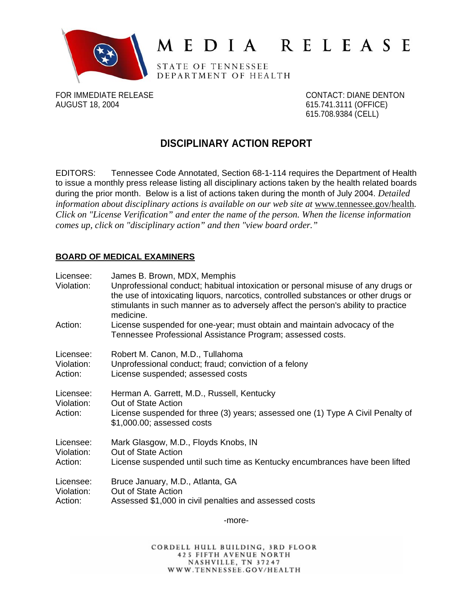

# MEDIA RELEASE

STATE OF TENNESSEE DEPARTMENT OF HEALTH

FOR IMMEDIATE RELEASE CONTACT: DIANE DENTON AUGUST 18, 2004 **615.741.3111 (OFFICE)** 

615.708.9384 (CELL)

## **DISCIPLINARY ACTION REPORT**

EDITORS: Tennessee Code Annotated, Section 68-1-114 requires the Department of Health to issue a monthly press release listing all disciplinary actions taken by the health related boards during the prior month. Below is a list of actions taken during the month of July 2004. *Detailed*  information about disciplinary actions is available on our web site at www.tennessee.gov/health. *Click on "License Verification" and enter the name of the person. When the license information comes up, click on "disciplinary action" and then "view board order."* 

### **BOARD OF MEDICAL EXAMINERS**

| Licensee:<br>Violation:            | James B. Brown, MDX, Memphis<br>Unprofessional conduct; habitual intoxication or personal misuse of any drugs or<br>the use of intoxicating liquors, narcotics, controlled substances or other drugs or<br>stimulants in such manner as to adversely affect the person's ability to practice<br>medicine. |
|------------------------------------|-----------------------------------------------------------------------------------------------------------------------------------------------------------------------------------------------------------------------------------------------------------------------------------------------------------|
| Action:                            | License suspended for one-year; must obtain and maintain advocacy of the<br>Tennessee Professional Assistance Program; assessed costs.                                                                                                                                                                    |
| Licensee:                          | Robert M. Canon, M.D., Tullahoma                                                                                                                                                                                                                                                                          |
| Violation:                         | Unprofessional conduct; fraud; conviction of a felony                                                                                                                                                                                                                                                     |
| Action:                            | License suspended; assessed costs                                                                                                                                                                                                                                                                         |
| Licensee:<br>Violation:<br>Action: | Herman A. Garrett, M.D., Russell, Kentucky<br>Out of State Action<br>License suspended for three (3) years; assessed one (1) Type A Civil Penalty of<br>\$1,000.00; assessed costs                                                                                                                        |
| Licensee:                          | Mark Glasgow, M.D., Floyds Knobs, IN                                                                                                                                                                                                                                                                      |
| Violation:                         | Out of State Action                                                                                                                                                                                                                                                                                       |
| Action:                            | License suspended until such time as Kentucky encumbrances have been lifted                                                                                                                                                                                                                               |
| Licensee:                          | Bruce January, M.D., Atlanta, GA                                                                                                                                                                                                                                                                          |
| Violation:                         | Out of State Action                                                                                                                                                                                                                                                                                       |
| Action:                            | Assessed \$1,000 in civil penalties and assessed costs                                                                                                                                                                                                                                                    |

-more-

CORDELL HULL BUILDING, 3RD FLOOR **425 FIFTH AVENUE NORTH** NASHVILLE, TN 37247 WWW.TENNESSEE.GOV/HEALTH